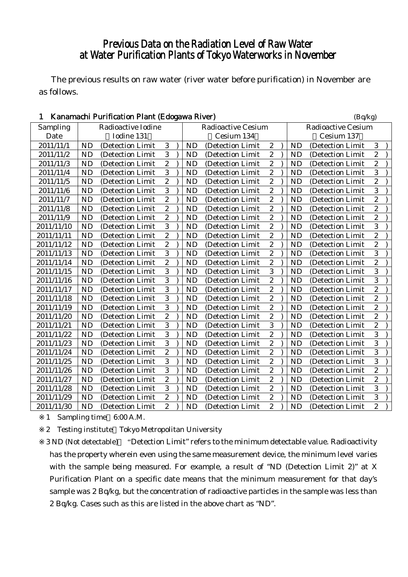# Previous Data on the Radiation Level of Raw Water at Water Purification Plants of Tokyo Waterworks in November

The previous results on raw water (river water before purification) in November are as follows.

| $\mathbf{1}$<br>Kanamachi Purification Plant (Edogawa River) |            |                    |                |                           |           |                   |                         |  |                           | (Bq/kg)          |                |  |  |
|--------------------------------------------------------------|------------|--------------------|----------------|---------------------------|-----------|-------------------|-------------------------|--|---------------------------|------------------|----------------|--|--|
| Sampling                                                     |            | Radioactive Iodine |                | <b>Radioactive Cesium</b> |           |                   |                         |  | <b>Radioactive Cesium</b> |                  |                |  |  |
| Date                                                         | Iodine 131 |                    |                |                           |           | Cesium 134        | Cesium 137              |  |                           |                  |                |  |  |
| 2011/11/1                                                    | <b>ND</b>  | (Detection Limit)  | 3              |                           | <b>ND</b> | (Detection Limit  | $\boldsymbol{2}$        |  | <b>ND</b>                 | (Detection Limit | 3              |  |  |
| 2011/11/2                                                    | <b>ND</b>  | (Detection Limit   | 3              |                           | <b>ND</b> | (Detection Limit  | $\boldsymbol{2}$        |  | <b>ND</b>                 | (Detection Limit | $\overline{c}$ |  |  |
| 2011/11/3                                                    | <b>ND</b>  | (Detection Limit   | $\overline{2}$ |                           | <b>ND</b> | (Detection Limit  | $\overline{c}$          |  | <b>ND</b>                 | (Detection Limit | $\overline{c}$ |  |  |
| 2011/11/4                                                    | <b>ND</b>  | (Detection Limit   | $\overline{3}$ |                           | <b>ND</b> | (Detection Limit  | $\overline{c}$          |  | <b>ND</b>                 | (Detection Limit | 3              |  |  |
| 2011/11/5                                                    | <b>ND</b>  | (Detection Limit   | $\overline{2}$ |                           | <b>ND</b> | (Detection Limit  | $\overline{2}$          |  | <b>ND</b>                 | (Detection Limit | $\overline{2}$ |  |  |
| 2011/11/6                                                    | <b>ND</b>  | (Detection Limit   | $\overline{3}$ |                           | <b>ND</b> | (Detection Limit  | $\boldsymbol{2}$        |  | <b>ND</b>                 | (Detection Limit | 3              |  |  |
| 2011/11/7                                                    | <b>ND</b>  | (Detection Limit   | $\overline{2}$ |                           | <b>ND</b> | (Detection Limit  | $\boldsymbol{2}$        |  | <b>ND</b>                 | (Detection Limit | $\overline{c}$ |  |  |
| 2011/11/8                                                    | <b>ND</b>  | (Detection Limit)  | $\overline{2}$ |                           | <b>ND</b> | (Detection Limit  | $\overline{\mathbf{c}}$ |  | <b>ND</b>                 | (Detection Limit | $\overline{c}$ |  |  |
| 2011/11/9                                                    | <b>ND</b>  | (Detection Limit   | $\overline{2}$ |                           | <b>ND</b> | (Detection Limit  | $\boldsymbol{2}$        |  | <b>ND</b>                 | (Detection Limit | $\overline{c}$ |  |  |
| 2011/11/10                                                   | <b>ND</b>  | (Detection Limit   | $\overline{3}$ |                           | <b>ND</b> | (Detection Limit  | $\boldsymbol{2}$        |  | <b>ND</b>                 | (Detection Limit | 3              |  |  |
| 2011/11/11                                                   | <b>ND</b>  | (Detection Limit   | $\overline{c}$ |                           | <b>ND</b> | (Detection Limit  | $\overline{2}$          |  | <b>ND</b>                 | (Detection Limit | $\overline{c}$ |  |  |
| 2011/11/12                                                   | <b>ND</b>  | (Detection Limit   | $\overline{2}$ |                           | <b>ND</b> | (Detection Limit  | $\overline{2}$          |  | <b>ND</b>                 | (Detection Limit | $\overline{c}$ |  |  |
| 2011/11/13                                                   | <b>ND</b>  | (Detection Limit   | $\overline{3}$ |                           | <b>ND</b> | (Detection Limit  | $\overline{2}$          |  | <b>ND</b>                 | (Detection Limit | 3              |  |  |
| 2011/11/14                                                   | <b>ND</b>  | (Detection Limit   | $\overline{2}$ |                           | <b>ND</b> | (Detection Limit  | $\boldsymbol{2}$        |  | <b>ND</b>                 | (Detection Limit | $\overline{c}$ |  |  |
| 2011/11/15                                                   | <b>ND</b>  | (Detection Limit)  | $\overline{3}$ |                           | <b>ND</b> | (Detection Limit) | 3                       |  | <b>ND</b>                 | (Detection Limit | 3              |  |  |
| 2011/11/16                                                   | <b>ND</b>  | (Detection Limit   | 3              |                           | <b>ND</b> | (Detection Limit  | $\boldsymbol{2}$        |  | <b>ND</b>                 | (Detection Limit | 3              |  |  |
| 2011/11/17                                                   | <b>ND</b>  | (Detection Limit   | $\overline{3}$ |                           | <b>ND</b> | (Detection Limit  | $\boldsymbol{2}$        |  | <b>ND</b>                 | (Detection Limit | $\overline{c}$ |  |  |
| 2011/11/18                                                   | <b>ND</b>  | (Detection Limit   | $\overline{3}$ |                           | <b>ND</b> | (Detection Limit  | $\boldsymbol{2}$        |  | <b>ND</b>                 | (Detection Limit | $\overline{c}$ |  |  |
| 2011/11/19                                                   | <b>ND</b>  | (Detection Limit)  | 3              |                           | <b>ND</b> | (Detection Limit) | $\overline{c}$          |  | <b>ND</b>                 | (Detection Limit | $\overline{c}$ |  |  |
| 2011/11/20                                                   | <b>ND</b>  | (Detection Limit   | $\overline{c}$ |                           | <b>ND</b> | (Detection Limit  | $\boldsymbol{2}$        |  | <b>ND</b>                 | (Detection Limit | $\overline{c}$ |  |  |
| 2011/11/21                                                   | <b>ND</b>  | (Detection Limit)  | 3              |                           | <b>ND</b> | (Detection Limit  | 3                       |  | <b>ND</b>                 | (Detection Limit | $\overline{c}$ |  |  |
| 2011/11/22                                                   | <b>ND</b>  | (Detection Limit   | $\overline{3}$ |                           | <b>ND</b> | (Detection Limit  | $\boldsymbol{2}$        |  | <b>ND</b>                 | (Detection Limit | 3              |  |  |
| 2011/11/23                                                   | <b>ND</b>  | (Detection Limit)  | 3              |                           | <b>ND</b> | (Detection Limit  | $\overline{2}$          |  | <b>ND</b>                 | (Detection Limit | 3              |  |  |
| 2011/11/24                                                   | <b>ND</b>  | (Detection Limit   | $\overline{2}$ |                           | <b>ND</b> | (Detection Limit  | $\overline{2}$          |  | <b>ND</b>                 | (Detection Limit | $\overline{3}$ |  |  |
| 2011/11/25                                                   | <b>ND</b>  | (Detection Limit   | $\overline{3}$ |                           | <b>ND</b> | (Detection Limit  | $\overline{c}$          |  | <b>ND</b>                 | (Detection Limit | 3              |  |  |
| 2011/11/26                                                   | <b>ND</b>  | (Detection Limit   | $\overline{3}$ |                           | <b>ND</b> | (Detection Limit  | $\overline{2}$          |  | <b>ND</b>                 | (Detection Limit | $\overline{2}$ |  |  |
| 2011/11/27                                                   | <b>ND</b>  | (Detection Limit   | $\overline{2}$ |                           | <b>ND</b> | (Detection Limit  | $\overline{2}$          |  | <b>ND</b>                 | (Detection Limit | $\overline{c}$ |  |  |
| 2011/11/28                                                   | <b>ND</b>  | (Detection Limit   | $\overline{3}$ |                           | <b>ND</b> | (Detection Limit  | $\overline{2}$          |  | <b>ND</b>                 | (Detection Limit | $\overline{3}$ |  |  |
| 2011/11/29                                                   | <b>ND</b>  | (Detection Limit   | $\sqrt{2}$     |                           | <b>ND</b> | (Detection Limit  | $\boldsymbol{2}$        |  | <b>ND</b>                 | (Detection Limit | 3              |  |  |
| 2011/11/30                                                   | <b>ND</b>  | (Detection Limit   | $\overline{2}$ |                           | <b>ND</b> | (Detection Limit  | $\overline{2}$          |  | <b>ND</b>                 | (Detection Limit | $\overline{c}$ |  |  |

1 Sampling time 6:00 A.M.

2 Testing institute Tokyo Metropolitan University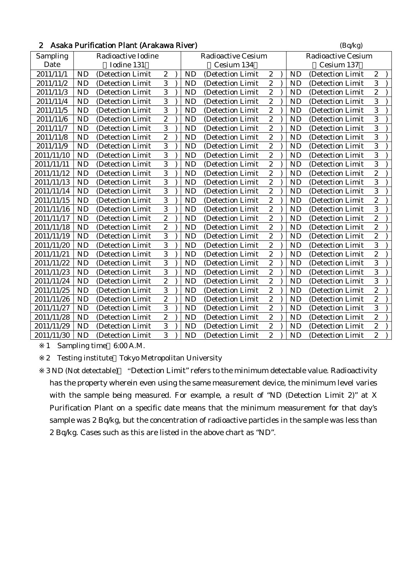|  | 2 Asaka Purification Plant (Arakawa River) | (Bq/kg) |
|--|--------------------------------------------|---------|
|--|--------------------------------------------|---------|

| Sampling   | Radioactive Iodine |                   |                  |  |           | <b>Radioactive Cesium</b> |                         | <b>Radioactive Cesium</b> |           |                   |                  |  |  |  |
|------------|--------------------|-------------------|------------------|--|-----------|---------------------------|-------------------------|---------------------------|-----------|-------------------|------------------|--|--|--|
| Date       | Iodine 131         |                   |                  |  |           | Cesium 134                |                         |                           |           | Cesium 137        |                  |  |  |  |
| 2011/11/1  | <b>ND</b>          | (Detection Limit  | $\boldsymbol{2}$ |  | <b>ND</b> | (Detection Limit          | $\boldsymbol{2}$        |                           | <b>ND</b> | (Detection Limit  | 2                |  |  |  |
| 2011/11/2  | <b>ND</b>          | (Detection Limit  | 3                |  | <b>ND</b> | (Detection Limit)         | $\overline{c}$          |                           | <b>ND</b> | (Detection Limit  | 3                |  |  |  |
| 2011/11/3  | <b>ND</b>          | (Detection Limit  | $\overline{3}$   |  | <b>ND</b> | (Detection Limit          | $\boldsymbol{2}$        |                           | <b>ND</b> | (Detection Limit  | $\overline{c}$   |  |  |  |
| 2011/11/4  | <b>ND</b>          | (Detection Limit  | 3                |  | <b>ND</b> | (Detection Limit          | $\boldsymbol{2}$        |                           | <b>ND</b> | (Detection Limit  | 3                |  |  |  |
| 2011/11/5  | <b>ND</b>          | (Detection Limit  | $\overline{3}$   |  | <b>ND</b> | (Detection Limit          | $\overline{c}$          |                           | <b>ND</b> | (Detection Limit  | $\overline{3}$   |  |  |  |
| 2011/11/6  | <b>ND</b>          | (Detection Limit  | $\overline{2}$   |  | <b>ND</b> | (Detection Limit)         | $\overline{c}$          |                           | <b>ND</b> | (Detection Limit) | 3                |  |  |  |
| 2011/11/7  | <b>ND</b>          | (Detection Limit  | 3                |  | <b>ND</b> | (Detection Limit          | $\boldsymbol{2}$        |                           | <b>ND</b> | (Detection Limit  | 3                |  |  |  |
| 2011/11/8  | <b>ND</b>          | (Detection Limit  | $\boldsymbol{2}$ |  | <b>ND</b> | (Detection Limit          | $\boldsymbol{2}$        |                           | <b>ND</b> | (Detection Limit  | 3                |  |  |  |
| 2011/11/9  | <b>ND</b>          | (Detection Limit  | $\overline{3}$   |  | <b>ND</b> | (Detection Limit          | $\overline{2}$          |                           | <b>ND</b> | (Detection Limit  | $\overline{3}$   |  |  |  |
| 2011/11/10 | <b>ND</b>          | (Detection Limit  | 3                |  | <b>ND</b> | (Detection Limit)         | $\overline{c}$          |                           | <b>ND</b> | (Detection Limit  | 3                |  |  |  |
| 2011/11/11 | <b>ND</b>          | (Detection Limit  | 3                |  | <b>ND</b> | (Detection Limit          | $\boldsymbol{2}$        |                           | <b>ND</b> | (Detection Limit  | 3                |  |  |  |
| 2011/11/12 | <b>ND</b>          | (Detection Limit  | $\overline{3}$   |  | <b>ND</b> | (Detection Limit          | $\overline{c}$          |                           | <b>ND</b> | (Detection Limit  | $\overline{c}$   |  |  |  |
| 2011/11/13 | <b>ND</b>          | (Detection Limit  | 3                |  | <b>ND</b> | (Detection Limit          | $\boldsymbol{2}$        |                           | <b>ND</b> | (Detection Limit  | 3                |  |  |  |
| 2011/11/14 | <b>ND</b>          | (Detection Limit  | 3                |  | <b>ND</b> | (Detection Limit          | $\boldsymbol{2}$        |                           | <b>ND</b> | (Detection Limit  | 3                |  |  |  |
| 2011/11/15 | <b>ND</b>          | (Detection Limit  | $\overline{3}$   |  | <b>ND</b> | (Detection Limit)         | $\overline{2}$          |                           | <b>ND</b> | (Detection Limit) | $\overline{2}$   |  |  |  |
| 2011/11/16 | <b>ND</b>          | (Detection Limit  | 3                |  | <b>ND</b> | (Detection Limit          | $\boldsymbol{2}$        |                           | <b>ND</b> | (Detection Limit  | 3                |  |  |  |
| 2011/11/17 | <b>ND</b>          | (Detection Limit  | $\overline{2}$   |  | <b>ND</b> | (Detection Limit          | $\boldsymbol{2}$        |                           | <b>ND</b> | (Detection Limit  | $\overline{c}$   |  |  |  |
| 2011/11/18 | <b>ND</b>          | (Detection Limit  | $\overline{2}$   |  | <b>ND</b> | (Detection Limit          | $\overline{\mathbf{c}}$ |                           | <b>ND</b> | (Detection Limit  | $\overline{c}$   |  |  |  |
| 2011/11/19 | <b>ND</b>          | (Detection Limit  | 3                |  | <b>ND</b> | (Detection Limit)         | $\overline{c}$          |                           | <b>ND</b> | (Detection Limit  | $\overline{c}$   |  |  |  |
| 2011/11/20 | <b>ND</b>          | (Detection Limit  | 3                |  | <b>ND</b> | (Detection Limit          | $\boldsymbol{2}$        |                           | <b>ND</b> | (Detection Limit  | 3                |  |  |  |
| 2011/11/21 | <b>ND</b>          | (Detection Limit  | 3                |  | <b>ND</b> | (Detection Limit          | $\overline{\mathbf{c}}$ |                           | <b>ND</b> | (Detection Limit  | $\overline{c}$   |  |  |  |
| 2011/11/22 | <b>ND</b>          | (Detection Limit  | 3                |  | <b>ND</b> | (Detection Limit          | $\overline{c}$          |                           | <b>ND</b> | (Detection Limit  | 3                |  |  |  |
| 2011/11/23 | <b>ND</b>          | (Detection Limit  | 3                |  | <b>ND</b> | (Detection Limit)         | $\overline{c}$          |                           | <b>ND</b> | (Detection Limit) | 3                |  |  |  |
| 2011/11/24 | <b>ND</b>          | (Detection Limit) | $\boldsymbol{2}$ |  | <b>ND</b> | (Detection Limit          | $\boldsymbol{2}$        |                           | <b>ND</b> | (Detection Limit  | 3                |  |  |  |
| 2011/11/25 | <b>ND</b>          | (Detection Limit  | 3                |  | <b>ND</b> | (Detection Limit          | $\overline{c}$          |                           | <b>ND</b> | (Detection Limit  | $\overline{c}$   |  |  |  |
| 2011/11/26 | <b>ND</b>          | (Detection Limit  | $\boldsymbol{2}$ |  | <b>ND</b> | (Detection Limit          | $\boldsymbol{2}$        |                           | <b>ND</b> | (Detection Limit  | $\boldsymbol{2}$ |  |  |  |
| 2011/11/27 | <b>ND</b>          | (Detection Limit  | 3                |  | <b>ND</b> | (Detection Limit)         | $\overline{2}$          |                           | <b>ND</b> | (Detection Limit) | 3                |  |  |  |
| 2011/11/28 | <b>ND</b>          | (Detection Limit  | $\overline{2}$   |  | <b>ND</b> | (Detection Limit          | $\overline{c}$          |                           | <b>ND</b> | (Detection Limit  | $\overline{2}$   |  |  |  |
| 2011/11/29 | <b>ND</b>          | (Detection Limit  | 3                |  | <b>ND</b> | (Detection Limit          | $\boldsymbol{2}$        |                           | <b>ND</b> | (Detection Limit  | $\boldsymbol{2}$ |  |  |  |
| 2011/11/30 | <b>ND</b>          | (Detection Limit  | $\overline{3}$   |  | <b>ND</b> | (Detection Limit          | $\overline{2}$          |                           | <b>ND</b> | (Detection Limit  | $\overline{2}$   |  |  |  |

2 Testing institute Tokyo Metropolitan University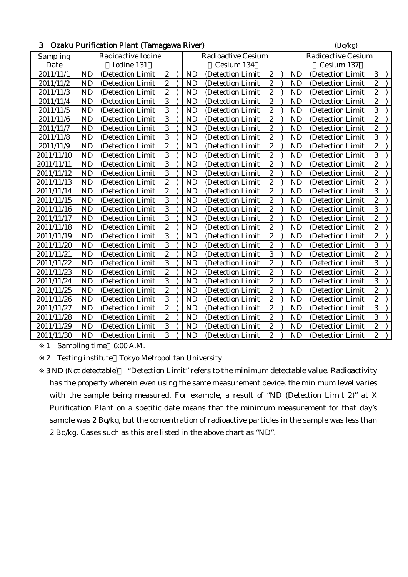| 3<br>Ozaku Purification Plant (Tamagawa River) |            |                    |                  |  |                           |                  |                  |            |           | (Bq/kg)                   |                  |  |  |  |
|------------------------------------------------|------------|--------------------|------------------|--|---------------------------|------------------|------------------|------------|-----------|---------------------------|------------------|--|--|--|
| Sampling                                       |            | Radioactive Iodine |                  |  | <b>Radioactive Cesium</b> |                  |                  |            |           | <b>Radioactive Cesium</b> |                  |  |  |  |
| Date                                           | Iodine 131 |                    |                  |  |                           | Cesium 134       |                  | Cesium 137 |           |                           |                  |  |  |  |
| 2011/11/1                                      | <b>ND</b>  | (Detection Limit   | $\boldsymbol{2}$ |  | <b>ND</b>                 | (Detection Limit | $\boldsymbol{2}$ |            | <b>ND</b> | (Detection Limit          | 3                |  |  |  |
| 2011/11/2                                      | <b>ND</b>  | (Detection Limit   | $\sqrt{2}$       |  | <b>ND</b>                 | (Detection Limit | $\sqrt{2}$       |            | <b>ND</b> | (Detection Limit          | $\boldsymbol{2}$ |  |  |  |
| 2011/11/3                                      | <b>ND</b>  | (Detection Limit   | $\overline{2}$   |  | <b>ND</b>                 | (Detection Limit | $\overline{2}$   |            | <b>ND</b> | (Detection Limit          | $\overline{2}$   |  |  |  |
| 2011/11/4                                      | <b>ND</b>  | (Detection Limit   | $\overline{3}$   |  | <b>ND</b>                 | (Detection Limit | $\boldsymbol{2}$ |            | <b>ND</b> | (Detection Limit          | $\overline{c}$   |  |  |  |
| 2011/11/5                                      | <b>ND</b>  | (Detection Limit   | $\overline{3}$   |  | <b>ND</b>                 | (Detection Limit | $\overline{2}$   |            | <b>ND</b> | (Detection Limit          | 3                |  |  |  |
| 2011/11/6                                      | <b>ND</b>  | (Detection Limit   | $\overline{3}$   |  | <b>ND</b>                 | (Detection Limit | $\boldsymbol{2}$ |            | <b>ND</b> | (Detection Limit          | $\overline{c}$   |  |  |  |
| 2011/11/7                                      | <b>ND</b>  | (Detection Limit   | 3                |  | <b>ND</b>                 | (Detection Limit | $\boldsymbol{2}$ |            | <b>ND</b> | (Detection Limit          | $\overline{c}$   |  |  |  |
| 2011/11/8                                      | <b>ND</b>  | (Detection Limit   | 3                |  | <b>ND</b>                 | (Detection Limit | $\boldsymbol{2}$ |            | <b>ND</b> | (Detection Limit          | 3                |  |  |  |
| 2011/11/9                                      | <b>ND</b>  | (Detection Limit   | $\overline{2}$   |  | <b>ND</b>                 | (Detection Limit | $\overline{2}$   |            | <b>ND</b> | (Detection Limit          | $\overline{c}$   |  |  |  |
| 2011/11/10                                     | <b>ND</b>  | (Detection Limit   | 3                |  | <b>ND</b>                 | (Detection Limit | $\boldsymbol{2}$ |            | <b>ND</b> | (Detection Limit          | 3                |  |  |  |
| 2011/11/11                                     | <b>ND</b>  | (Detection Limit   | 3                |  | <b>ND</b>                 | (Detection Limit | $\overline{2}$   |            | <b>ND</b> | (Detection Limit          | $\overline{c}$   |  |  |  |
| 2011/11/12                                     | <b>ND</b>  | (Detection Limit   | $\overline{3}$   |  | <b>ND</b>                 | (Detection Limit | $\overline{c}$   |            | <b>ND</b> | (Detection Limit          | $\overline{c}$   |  |  |  |
| 2011/11/13                                     | <b>ND</b>  | (Detection Limit   | $\boldsymbol{2}$ |  | <b>ND</b>                 | (Detection Limit | $\boldsymbol{2}$ |            | <b>ND</b> | (Detection Limit          | $\overline{c}$   |  |  |  |
| 2011/11/14                                     | <b>ND</b>  | (Detection Limit   | $\boldsymbol{2}$ |  | <b>ND</b>                 | (Detection Limit | $\boldsymbol{2}$ |            | <b>ND</b> | (Detection Limit          | 3                |  |  |  |
| 2011/11/15                                     | <b>ND</b>  | (Detection Limit   | $\overline{3}$   |  | <b>ND</b>                 | (Detection Limit | $\overline{2}$   |            | <b>ND</b> | (Detection Limit          | $\overline{c}$   |  |  |  |
| 2011/11/16                                     | <b>ND</b>  | (Detection Limit   | $\overline{3}$   |  | <b>ND</b>                 | (Detection Limit | $\overline{c}$   |            | <b>ND</b> | (Detection Limit          | 3                |  |  |  |
| 2011/11/17                                     | <b>ND</b>  | (Detection Limit   | 3                |  | <b>ND</b>                 | (Detection Limit | $\overline{2}$   |            | <b>ND</b> | (Detection Limit          | $\overline{c}$   |  |  |  |
| 2011/11/18                                     | <b>ND</b>  | (Detection Limit   | $\overline{2}$   |  | <b>ND</b>                 | (Detection Limit | $\overline{2}$   |            | <b>ND</b> | (Detection Limit          | $\overline{c}$   |  |  |  |
| 2011/11/19                                     | <b>ND</b>  | (Detection Limit   | $\overline{3}$   |  | <b>ND</b>                 | (Detection Limit | $\overline{c}$   |            | <b>ND</b> | (Detection Limit          | $\overline{c}$   |  |  |  |
| 2011/11/20                                     | <b>ND</b>  | (Detection Limit   | $\overline{3}$   |  | <b>ND</b>                 | (Detection Limit | $\overline{c}$   |            | <b>ND</b> | (Detection Limit          | 3                |  |  |  |
| 2011/11/21                                     | <b>ND</b>  | (Detection Limit   | $\overline{2}$   |  | <b>ND</b>                 | (Detection Limit | 3                |            | <b>ND</b> | (Detection Limit          | $\overline{c}$   |  |  |  |
| 2011/11/22                                     | <b>ND</b>  | (Detection Limit   | 3                |  | <b>ND</b>                 | (Detection Limit | $\boldsymbol{2}$ |            | <b>ND</b> | (Detection Limit          | 3                |  |  |  |
| 2011/11/23                                     | <b>ND</b>  | (Detection Limit   | $\overline{2}$   |  | <b>ND</b>                 | (Detection Limit | $\overline{2}$   |            | <b>ND</b> | (Detection Limit          | $\overline{c}$   |  |  |  |
| 2011/11/24                                     | <b>ND</b>  | (Detection Limit   | 3                |  | <b>ND</b>                 | (Detection Limit | $\overline{c}$   |            | <b>ND</b> | (Detection Limit          | 3                |  |  |  |
| 2011/11/25                                     | <b>ND</b>  | (Detection Limit   | $\boldsymbol{2}$ |  | <b>ND</b>                 | (Detection Limit | $\boldsymbol{2}$ |            | <b>ND</b> | (Detection Limit          | $\boldsymbol{2}$ |  |  |  |
| 2011/11/26                                     | <b>ND</b>  | (Detection Limit   | 3                |  | <b>ND</b>                 | (Detection Limit | $\boldsymbol{2}$ |            | <b>ND</b> | (Detection Limit          | $\overline{c}$   |  |  |  |
| 2011/11/27                                     | <b>ND</b>  | (Detection Limit   | $\overline{2}$   |  | <b>ND</b>                 | (Detection Limit | $\overline{2}$   |            | <b>ND</b> | (Detection Limit          | $\overline{3}$   |  |  |  |
| 2011/11/28                                     | <b>ND</b>  | (Detection Limit   | $\boldsymbol{2}$ |  | <b>ND</b>                 | (Detection Limit | $\boldsymbol{2}$ |            | <b>ND</b> | (Detection Limit          | 3                |  |  |  |
| 2011/11/29                                     | <b>ND</b>  | (Detection Limit   | 3                |  | <b>ND</b>                 | (Detection Limit | $\boldsymbol{2}$ |            | <b>ND</b> | (Detection Limit          | $\overline{c}$   |  |  |  |
| 2011/11/30                                     | <b>ND</b>  | (Detection Limit   | 3                |  | <b>ND</b>                 | (Detection Limit | $\overline{2}$   |            | <b>ND</b> | (Detection Limit          | $\overline{c}$   |  |  |  |

2 Testing institute Tokyo Metropolitan University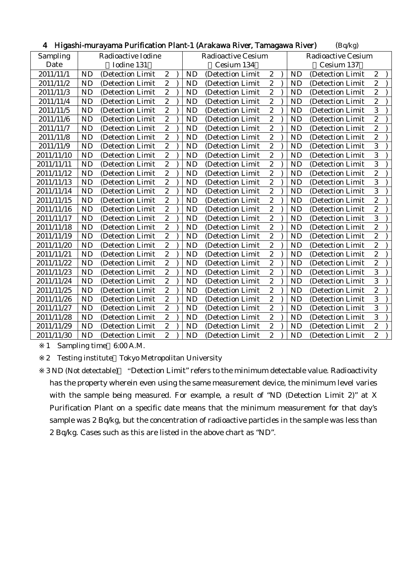| 4          |                    | - Higashi-murayama Purification Piant-T (Arakawa River, Tamagawa River) |                  |  |           |                           |                         |                           |           | (Bq/kg)           |                  |  |  |
|------------|--------------------|-------------------------------------------------------------------------|------------------|--|-----------|---------------------------|-------------------------|---------------------------|-----------|-------------------|------------------|--|--|
| Sampling   | Radioactive Iodine |                                                                         |                  |  |           | <b>Radioactive Cesium</b> |                         | <b>Radioactive Cesium</b> |           |                   |                  |  |  |
| Date       | Iodine 131         |                                                                         |                  |  |           | Cesium 134                |                         | Cesium 137                |           |                   |                  |  |  |
| 2011/11/1  | <b>ND</b>          | (Detection Limit                                                        | $\boldsymbol{2}$ |  | <b>ND</b> | (Detection Limit          | $\boldsymbol{2}$        |                           | <b>ND</b> | (Detection Limit  | $\boldsymbol{2}$ |  |  |
| 2011/11/2  | <b>ND</b>          | (Detection Limit                                                        | $\overline{c}$   |  | <b>ND</b> | (Detection Limit          | $\sqrt{2}$              |                           | <b>ND</b> | (Detection Limit  | $\overline{c}$   |  |  |
| 2011/11/3  | <b>ND</b>          | (Detection Limit                                                        | $\boldsymbol{2}$ |  | ND        | (Detection Limit          | $\overline{c}$          |                           | <b>ND</b> | (Detection Limit  | $\overline{c}$   |  |  |
| 2011/11/4  | <b>ND</b>          | (Detection Limit                                                        | $\boldsymbol{2}$ |  | <b>ND</b> | (Detection Limit          | $\boldsymbol{2}$        |                           | <b>ND</b> | (Detection Limit  | $\overline{c}$   |  |  |
| 2011/11/5  | <b>ND</b>          | (Detection Limit                                                        | $\overline{2}$   |  | <b>ND</b> | (Detection Limit          | $\boldsymbol{2}$        |                           | <b>ND</b> | (Detection Limit  | 3                |  |  |
| 2011/11/6  | <b>ND</b>          | (Detection Limit                                                        | $\overline{2}$   |  | <b>ND</b> | (Detection Limit          | $\overline{2}$          |                           | <b>ND</b> | (Detection Limit  | $\overline{c}$   |  |  |
| 2011/11/7  | <b>ND</b>          | (Detection Limit                                                        | $\overline{c}$   |  | ND        | (Detection Limit          | $\overline{c}$          |                           | <b>ND</b> | (Detection Limit  | $\overline{c}$   |  |  |
| 2011/11/8  | <b>ND</b>          | (Detection Limit                                                        | $\overline{c}$   |  | <b>ND</b> | (Detection Limit          | $\sqrt{2}$              |                           | ND        | (Detection Limit  | $\overline{c}$   |  |  |
| 2011/11/9  | <b>ND</b>          | (Detection Limit                                                        | $\overline{2}$   |  | <b>ND</b> | (Detection Limit          | $\mathbf{2}$            |                           | <b>ND</b> | (Detection Limit  | 3                |  |  |
| 2011/11/10 | <b>ND</b>          | (Detection Limit)                                                       | $\boldsymbol{2}$ |  | <b>ND</b> | (Detection Limit)         | $\overline{c}$          |                           | <b>ND</b> | (Detection Limit) | 3                |  |  |
| 2011/11/11 | <b>ND</b>          | (Detection Limit                                                        | $\boldsymbol{2}$ |  | <b>ND</b> | (Detection Limit          | $\sqrt{2}$              |                           | <b>ND</b> | (Detection Limit  | 3                |  |  |
| 2011/11/12 | <b>ND</b>          | (Detection Limit                                                        | $\overline{2}$   |  | <b>ND</b> | (Detection Limit          | $\overline{c}$          |                           | ND        | (Detection Limit  | $\overline{2}$   |  |  |
| 2011/11/13 | <b>ND</b>          | (Detection Limit                                                        | $\overline{2}$   |  | <b>ND</b> | (Detection Limit          | $\overline{\mathbf{c}}$ |                           | <b>ND</b> | (Detection Limit  | 3                |  |  |
| 2011/11/14 | <b>ND</b>          | (Detection Limit                                                        | $\boldsymbol{2}$ |  | <b>ND</b> | (Detection Limit          | $\boldsymbol{2}$        |                           | <b>ND</b> | (Detection Limit  | 3                |  |  |
| 2011/11/15 | <b>ND</b>          | (Detection Limit                                                        | $\overline{2}$   |  | ND        | (Detection Limit          | $\sqrt{2}$              |                           | ND        | (Detection Limit  | $\overline{c}$   |  |  |
| 2011/11/16 | <b>ND</b>          | (Detection Limit                                                        | $\overline{c}$   |  | <b>ND</b> | (Detection Limit          | $\overline{c}$          |                           | <b>ND</b> | (Detection Limit  | $\overline{c}$   |  |  |
| 2011/11/17 | <b>ND</b>          | (Detection Limit)                                                       | $\boldsymbol{2}$ |  | <b>ND</b> | (Detection Limit)         | $\boldsymbol{2}$        |                           | <b>ND</b> | (Detection Limit  | 3                |  |  |
| 2011/11/18 | <b>ND</b>          | (Detection Limit                                                        | $\overline{c}$   |  | <b>ND</b> | (Detection Limit          | $\sqrt{2}$              |                           | <b>ND</b> | (Detection Limit  | $\overline{c}$   |  |  |
| 2011/11/19 | <b>ND</b>          | (Detection Limit                                                        | $\overline{c}$   |  | <b>ND</b> | (Detection Limit          | $\overline{c}$          |                           | <b>ND</b> | (Detection Limit  | $\overline{2}$   |  |  |
| 2011/11/20 | <b>ND</b>          | (Detection Limit                                                        | $\overline{2}$   |  | <b>ND</b> | (Detection Limit          | $\boldsymbol{2}$        |                           | <b>ND</b> | (Detection Limit  | $\overline{c}$   |  |  |
| 2011/11/21 | <b>ND</b>          | (Detection Limit                                                        | $\overline{c}$   |  | <b>ND</b> | (Detection Limit          | $\overline{c}$          |                           | <b>ND</b> | (Detection Limit  | $\overline{2}$   |  |  |
| 2011/11/22 | <b>ND</b>          | (Detection Limit                                                        | $\boldsymbol{2}$ |  | ND        | (Detection Limit          | $\sqrt{2}$              |                           | ND        | (Detection Limit  | $\boldsymbol{2}$ |  |  |
| 2011/11/23 | <b>ND</b>          | (Detection Limit                                                        | $\overline{c}$   |  | ND        | (Detection Limit          | $\overline{c}$          |                           | ND        | (Detection Limit  | 3                |  |  |
| 2011/11/24 | <b>ND</b>          | (Detection Limit                                                        | $\overline{c}$   |  | <b>ND</b> | (Detection Limit          | $\overline{c}$          |                           | <b>ND</b> | (Detection Limit  | 3                |  |  |
| 2011/11/25 | <b>ND</b>          | (Detection Limit                                                        | $\boldsymbol{2}$ |  | <b>ND</b> | (Detection Limit          | $\boldsymbol{2}$        |                           | ND        | (Detection Limit  | $\boldsymbol{2}$ |  |  |
| 2011/11/26 | <b>ND</b>          | (Detection Limit                                                        | $\overline{2}$   |  | <b>ND</b> | (Detection Limit          | $\sqrt{2}$              |                           | <b>ND</b> | (Detection Limit  | 3                |  |  |
| 2011/11/27 | <b>ND</b>          | (Detection Limit)                                                       | $\boldsymbol{2}$ |  | <b>ND</b> | (Detection Limit)         | $\overline{c}$          |                           | <b>ND</b> | (Detection Limit  | 3                |  |  |
| 2011/11/28 | <b>ND</b>          | (Detection Limit                                                        | $\boldsymbol{2}$ |  | <b>ND</b> | (Detection Limit          | $\mathbf{2}$            |                           | <b>ND</b> | (Detection Limit  | 3                |  |  |
| 2011/11/29 | <b>ND</b>          | (Detection Limit                                                        | $\overline{c}$   |  | <b>ND</b> | (Detection Limit          | $\boldsymbol{2}$        |                           | ND        | (Detection Limit  | $\overline{c}$   |  |  |
| 2011/11/30 | <b>ND</b>          | (Detection Limit)                                                       | $\overline{2}$   |  | <b>ND</b> | (Detection Limit          | $\overline{c}$          |                           | <b>ND</b> | (Detection Limit  | $\overline{2}$   |  |  |

## 4 Higashi-murayama Purification Plant-1 (Arakawa River, Tamagawa River)  $(Bq/kg)$

1 Sampling time 6:00 A.M.

2 Testing institute Tokyo Metropolitan University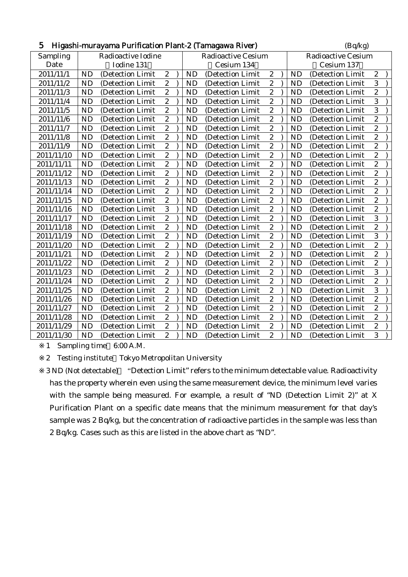| 5<br>Higashi-murayama Purification Plant-2 (Tamagawa River) |           |                    |                  |  |                           |                   |                  |  |           | (Bq/kg)                   |                  |  |  |  |  |
|-------------------------------------------------------------|-----------|--------------------|------------------|--|---------------------------|-------------------|------------------|--|-----------|---------------------------|------------------|--|--|--|--|
| Sampling                                                    |           | Radioactive Iodine |                  |  | <b>Radioactive Cesium</b> |                   |                  |  |           | <b>Radioactive Cesium</b> |                  |  |  |  |  |
| Date                                                        |           | Iodine 131         |                  |  |                           | Cesium 134        |                  |  |           | Cesium 137                |                  |  |  |  |  |
| 2011/11/1                                                   | <b>ND</b> | (Detection Limit   | $\boldsymbol{2}$ |  | <b>ND</b>                 | (Detection Limit  | $\sqrt{2}$       |  | <b>ND</b> | (Detection Limit          | $\overline{c}$   |  |  |  |  |
| 2011/11/2                                                   | <b>ND</b> | (Detection Limit   | $\boldsymbol{2}$ |  | <b>ND</b>                 | (Detection Limit  | $\sqrt{2}$       |  | <b>ND</b> | (Detection Limit          | 3                |  |  |  |  |
| 2011/11/3                                                   | <b>ND</b> | (Detection Limit   | $\overline{2}$   |  | <b>ND</b>                 | (Detection Limit  | $\overline{2}$   |  | <b>ND</b> | (Detection Limit          | $\overline{c}$   |  |  |  |  |
| 2011/11/4                                                   | <b>ND</b> | (Detection Limit)  | $\boldsymbol{2}$ |  | <b>ND</b>                 | (Detection Limit) | $\boldsymbol{2}$ |  | <b>ND</b> | (Detection Limit          | 3                |  |  |  |  |
| 2011/11/5                                                   | <b>ND</b> | (Detection Limit)  | $\boldsymbol{2}$ |  | <b>ND</b>                 | (Detection Limit) | $\boldsymbol{2}$ |  | <b>ND</b> | (Detection Limit          | 3                |  |  |  |  |
| 2011/11/6                                                   | <b>ND</b> | (Detection Limit   | $\overline{c}$   |  | <b>ND</b>                 | (Detection Limit  | $\boldsymbol{2}$ |  | <b>ND</b> | (Detection Limit          | $\overline{c}$   |  |  |  |  |
| 2011/11/7                                                   | <b>ND</b> | (Detection Limit)  | $\overline{c}$   |  | <b>ND</b>                 | (Detection Limit) | $\overline{c}$   |  | <b>ND</b> | (Detection Limit          | $\overline{c}$   |  |  |  |  |
| 2011/11/8                                                   | <b>ND</b> | (Detection Limit   | $\overline{c}$   |  | <b>ND</b>                 | (Detection Limit) | $\boldsymbol{2}$ |  | <b>ND</b> | (Detection Limit          | $\overline{c}$   |  |  |  |  |
| 2011/11/9                                                   | <b>ND</b> | (Detection Limit)  | $\boldsymbol{2}$ |  | <b>ND</b>                 | (Detection Limit) | $\boldsymbol{2}$ |  | <b>ND</b> | (Detection Limit          | $\overline{c}$   |  |  |  |  |
| 2011/11/10                                                  | <b>ND</b> | (Detection Limit   | $\overline{c}$   |  | <b>ND</b>                 | (Detection Limit  | $\boldsymbol{2}$ |  | <b>ND</b> | (Detection Limit          | $\overline{c}$   |  |  |  |  |
| 2011/11/11                                                  | ND        | (Detection Limit   | $\overline{c}$   |  | <b>ND</b>                 | (Detection Limit  | $\overline{c}$   |  | <b>ND</b> | (Detection Limit          | $\overline{c}$   |  |  |  |  |
| 2011/11/12                                                  | <b>ND</b> | (Detection Limit   | $\overline{2}$   |  | <b>ND</b>                 | (Detection Limit  | $\overline{2}$   |  | <b>ND</b> | (Detection Limit          | $\overline{2}$   |  |  |  |  |
| 2011/11/13                                                  | <b>ND</b> | (Detection Limit   | $\boldsymbol{2}$ |  | <b>ND</b>                 | (Detection Limit  | $\boldsymbol{2}$ |  | <b>ND</b> | (Detection Limit          | $\overline{c}$   |  |  |  |  |
| 2011/11/14                                                  | <b>ND</b> | (Detection Limit   | $\overline{c}$   |  | <b>ND</b>                 | (Detection Limit  | $\sqrt{2}$       |  | <b>ND</b> | (Detection Limit          | $\overline{c}$   |  |  |  |  |
| 2011/11/15                                                  | <b>ND</b> | (Detection Limit   | $\overline{c}$   |  | <b>ND</b>                 | (Detection Limit  | $\overline{c}$   |  | <b>ND</b> | (Detection Limit          | $\overline{c}$   |  |  |  |  |
| 2011/11/16                                                  | <b>ND</b> | (Detection Limit   | $\overline{3}$   |  | <b>ND</b>                 | (Detection Limit  | $\boldsymbol{2}$ |  | <b>ND</b> | (Detection Limit          | $\overline{c}$   |  |  |  |  |
| 2011/11/17                                                  | <b>ND</b> | (Detection Limit   | $\overline{c}$   |  | <b>ND</b>                 | (Detection Limit  | $\boldsymbol{2}$ |  | <b>ND</b> | (Detection Limit          | 3                |  |  |  |  |
| 2011/11/18                                                  | <b>ND</b> | (Detection Limit)  | $\overline{c}$   |  | <b>ND</b>                 | (Detection Limit  | $\overline{c}$   |  | <b>ND</b> | (Detection Limit          | $\overline{c}$   |  |  |  |  |
| 2011/11/19                                                  | <b>ND</b> | (Detection Limit   | $\overline{2}$   |  | <b>ND</b>                 | (Detection Limit) | $\overline{c}$   |  | <b>ND</b> | (Detection Limit          | 3                |  |  |  |  |
| 2011/11/20                                                  | <b>ND</b> | (Detection Limit   | $\overline{c}$   |  | <b>ND</b>                 | (Detection Limit  | $\boldsymbol{2}$ |  | <b>ND</b> | (Detection Limit          | $\overline{c}$   |  |  |  |  |
| 2011/11/21                                                  | <b>ND</b> | (Detection Limit   | $\boldsymbol{2}$ |  | <b>ND</b>                 | (Detection Limit  | $\boldsymbol{2}$ |  | <b>ND</b> | (Detection Limit          | $\boldsymbol{2}$ |  |  |  |  |
| 2011/11/22                                                  | <b>ND</b> | (Detection Limit   | $\overline{c}$   |  | <b>ND</b>                 | (Detection Limit  | $\overline{c}$   |  | <b>ND</b> | (Detection Limit          | $\overline{c}$   |  |  |  |  |
| 2011/11/23                                                  | <b>ND</b> | (Detection Limit   | $\overline{c}$   |  | <b>ND</b>                 | (Detection Limit) | $\boldsymbol{2}$ |  | <b>ND</b> | (Detection Limit          | 3                |  |  |  |  |
| 2011/11/24                                                  | <b>ND</b> | (Detection Limit)  | $\boldsymbol{2}$ |  | <b>ND</b>                 | (Detection Limit) | $\boldsymbol{2}$ |  | <b>ND</b> | (Detection Limit          | $\overline{c}$   |  |  |  |  |
| 2011/11/25                                                  | <b>ND</b> | (Detection Limit   | $\boldsymbol{2}$ |  | <b>ND</b>                 | (Detection Limit  | $\boldsymbol{2}$ |  | <b>ND</b> | (Detection Limit          | 3                |  |  |  |  |
| 2011/11/26                                                  | <b>ND</b> | (Detection Limit   | $\overline{c}$   |  | <b>ND</b>                 | (Detection Limit  | $\overline{c}$   |  | <b>ND</b> | (Detection Limit          | $\overline{c}$   |  |  |  |  |
| 2011/11/27                                                  | <b>ND</b> | (Detection Limit   | $\overline{c}$   |  | <b>ND</b>                 | (Detection Limit  | $\overline{c}$   |  | <b>ND</b> | (Detection Limit          | $\overline{2}$   |  |  |  |  |
| 2011/11/28                                                  | <b>ND</b> | (Detection Limit)  | $\boldsymbol{2}$ |  | <b>ND</b>                 | (Detection Limit  | $\boldsymbol{2}$ |  | <b>ND</b> | (Detection Limit          | $\overline{c}$   |  |  |  |  |
| 2011/11/29                                                  | <b>ND</b> | (Detection Limit   | $\boldsymbol{2}$ |  | <b>ND</b>                 | (Detection Limit) | $\boldsymbol{2}$ |  | <b>ND</b> | (Detection Limit          | $\overline{c}$   |  |  |  |  |
| 2011/11/30                                                  | <b>ND</b> | (Detection Limit   | $\overline{c}$   |  | <b>ND</b>                 | (Detection Limit  | $\overline{c}$   |  | <b>ND</b> | (Detection Limit          | 3                |  |  |  |  |

2 Testing institute Tokyo Metropolitan University